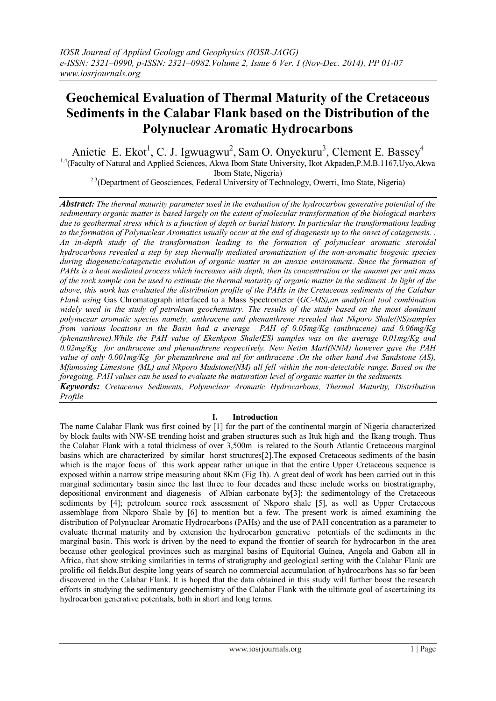# **Geochemical Evaluation of Thermal Maturity of the Cretaceous Sediments in the Calabar Flank based on the Distribution of the Polynuclear Aromatic Hydrocarbons**

Anietie E. Ekot<sup>1</sup>, C. J. Igwuagwu<sup>2</sup>, Sam O. Onyekuru<sup>3</sup>, Clement E. Bassey<sup>4</sup>  $1,4$ (Faculty of Natural and Applied Sciences, Akwa Ibom State University, Ikot Akpaden, P.M.B.1167, Uyo, Akwa Ibom State, Nigeria)

<sup>2,3</sup>(Department of Geosciences, Federal University of Technology, Owerri, Imo State, Nigeria)

*Abstract: The thermal maturity parameter used in the evaluation of the hydrocarbon generative potential of the sedimentary organic matter is based largely on the extent of molecular transformation of the biological markers due to geothermal stress which is a function of depth or burial history. In particular the transformations leading to the formation of Polynuclear Aromatics usually occur at the end of diagenesis up to the onset of catagenesis. . An in-depth study of the transformation leading to the formation of polynuclear aromatic steroidal hydrocarbons revealed a step by step thermally mediated aromatization of the non-aromatic biogenic species during diagenetic/catagenetic evolution of organic matter in an anoxic environment. Since the formation of PAHs is a heat mediated process which increases with depth, then its concentration or the amount per unit mass of the rock sample can be used to estimate the thermal maturity of organic matter in the sediment .In light of the above, this work has evaluated the distribution profile of the PAHs in the Cretaceous sediments of the Calabar Flank using* Gas Chromatograph interfaced to a Mass Spectrometer (*GC-MS),an analytical tool combination widely used in the study of petroleum geochemistry. The results of the study based on the most dominant polynucear aromatic species namely, anthracene and phenanthrene revealed that Nkporo Shale(NS)samples from various locations in the Basin had a average PAH of 0.05mg/Kg (anthracene) and 0.06mg/Kg (phenanthrene).While the PAH value of Ekenkpon Shale(ES) samples was on the average 0.01mg/Kg and 0.02mg/Kg for anthracene and phenanthrene respectively. New Netim Marl(NNM) however gave the PAH value of only 0.001mg/Kg for phenanthrene and nil for anthracene .On the other hand Awi Sandstone (AS), Mfamosing Limestone (ML) and Nkporo Mudstone(NM) all fell within the non-detectable range. Based on the foregoing, PAH values can be used to evaluate the maturation level of organic matter in the sediments. Keywords: Cretaceous Sediments, Polynuclear Aromatic Hydrocarbons, Thermal Maturity, Distribution Profile*

#### **I. Introduction**

The name Calabar Flank was first coined by [1] for the part of the continental margin of Nigeria characterized by block faults with NW-SE trending hoist and graben structures such as Ituk high and the Ikang trough. Thus the Calabar Flank with a total thickness of over 3,500m is related to the South Atlantic Cretaceous marginal basins which are characterized by similar horst structures[2].The exposed Cretaceous sediments of the basin which is the major focus of this work appear rather unique in that the entire Upper Cretaceous sequence is exposed within a narrow stripe measuring about 8Km (Fig 1b). A great deal of work has been carried out in this marginal sedimentary basin since the last three to four decades and these include works on biostratigraphy, depositional environment and diagenesis of Albian carbonate by[3]; the sedimentology of the Cretaceous sediments by [4]; petroleum source rock assessment of Nkporo shale [5], as well as Upper Cretaceous assemblage from Nkporo Shale by [6] to mention but a few. The present work is aimed examining the distribution of Polynuclear Aromatic Hydrocarbons (PAHs) and the use of PAH concentration as a parameter to evaluate thermal maturity and by extension the hydrocarbon generative potentials of the sediments in the marginal basin. This work is driven by the need to expand the frontier of search for hydrocarbon in the area because other geological provinces such as marginal basins of Equitorial Guinea, Angola and Gabon all in Africa, that show striking similarities in terms of stratigraphy and geological setting with the Calabar Flank are prolific oil fields.But despite long years of search no commercial accumulation of hydrocarbons has so far been discovered in the Calabar Flank. It is hoped that the data obtained in this study will further boost the research efforts in studying the sedimentary geochemistry of the Calabar Flank with the ultimate goal of ascertaining its hydrocarbon generative potentials, both in short and long terms.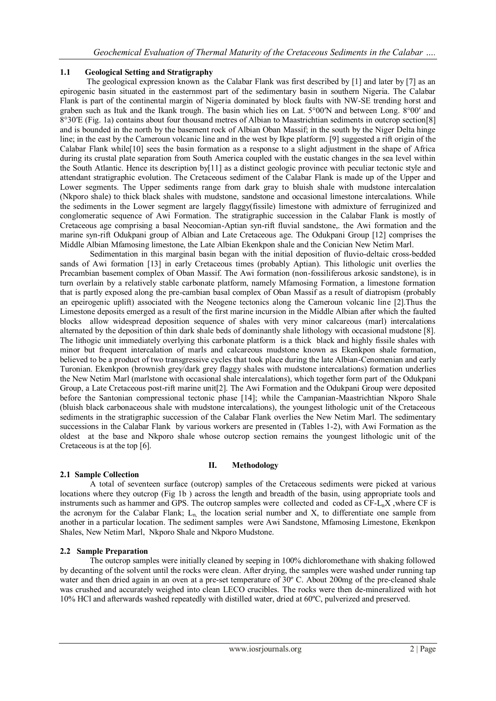### **1.1 Geological Setting and Stratigraphy**

The geological expression known as the Calabar Flank was first described by [1] and later by [7] as an epirogenic basin situated in the easternmost part of the sedimentary basin in southern Nigeria. The Calabar Flank is part of the continental margin of Nigeria dominated by block faults with NW-SE trending horst and graben such as Ituk and the Ikank trough. The basin which lies on Lat. 5°00′N and between Long. 8°00′ and 8°30′E (Fig. 1a) contains about four thousand metres of Albian to Maastrichtian sediments in outcrop section[8] and is bounded in the north by the basement rock of Albian Oban Massif; in the south by the Niger Delta hinge line; in the east by the Cameroun volcanic line and in the west by Ikpe platform. [9] suggested a rift origin of the Calabar Flank while[10] sees the basin formation as a response to a slight adjustment in the shape of Africa during its crustal plate separation from South America coupled with the eustatic changes in the sea level within the South Atlantic. Hence its description by[11] as a distinct geologic province with peculiar tectonic style and attendant stratigraphic evolution. The Cretaceous sediment of the Calabar Flank is made up of the Upper and Lower segments. The Upper sediments range from dark gray to bluish shale with mudstone intercalation (Nkporo shale) to thick black shales with mudstone, sandstone and occasional limestone intercalations. While the sediments in the Lower segment are largely flaggy(fissile) limestone with admixture of ferruginized and conglomeratic sequence of Awi Formation. The stratigraphic succession in the Calabar Flank is mostly of Cretaceous age comprising a basal Neocomian-Aptian syn-rift fluvial sandstone,. the Awi formation and the marine syn-rift Odukpani group of Albian and Late Cretaceous age. The Odukpani Group [12] comprises the Middle Albian Mfamosing limestone, the Late Albian Ekenkpon shale and the Conician New Netim Marl.

Sedimentation in this marginal basin began with the initial deposition of fluvio-deltaic cross-bedded sands of Awi formation [13] in early Cretaceous times (probably Aptian). This lithologic unit overlies the Precambian basement complex of Oban Massif. The Awi formation (non-fossiliferous arkosic sandstone), is in turn overlain by a relatively stable carbonate platform, namely Mfamosing Formation, a limestone formation that is partly exposed along the pre-cambian basal complex of Oban Massif as a result of diatropism (probably an epeirogenic uplift) associated with the Neogene tectonics along the Cameroun volcanic line [2].Thus the Limestone deposits emerged as a result of the first marine incursion in the Middle Albian after which the faulted blocks allow widespread deposition sequence of shales with very minor calcareous (marl) intercalations alternated by the deposition of thin dark shale beds of dominantly shale lithology with occasional mudstone [8]. The lithogic unit immediately overlying this carbonate platform is a thick black and highly fissile shales with minor but frequent intercalation of marls and calcareous mudstone known as Ekenkpon shale formation, believed to be a product of two transgressive cycles that took place during the late Albian-Cenomenian and early Turonian. Ekenkpon (brownish grey/dark grey flaggy shales with mudstone intercalations) formation underlies the New Netim Marl (marlstone with occasional shale intercalations), which together form part of the Odukpani Group, a Late Cretaceous post-rift marine unit[2]. The Awi Formation and the Odukpani Group were deposited before the Santonian compressional tectonic phase [14]; while the Campanian-Maastrichtian Nkporo Shale (bluish black carbonaceous shale with mudstone intercalations), the youngest lithologic unit of the Cretaceous sediments in the stratigraphic succession of the Calabar Flank overlies the New Netim Marl. The sedimentary successions in the Calabar Flank by various workers are presented in (Tables 1-2), with Awi Formation as the oldest at the base and Nkporo shale whose outcrop section remains the youngest lithologic unit of the Cretaceous is at the top [6].

#### **II. Methodology**

## **2.1 Sample Collection**

A total of seventeen surface (outcrop) samples of the Cretaceous sediments were picked at various locations where they outcrop (Fig 1b ) across the length and breadth of the basin, using appropriate tools and instruments such as hammer and GPS. The outcrop samples were collected and coded as CF-L<sub>n</sub>X, where CF is the acronym for the Calabar Flank;  $L_n$  the location serial number and X, to differentiate one sample from another in a particular location. The sediment samples were Awi Sandstone, Mfamosing Limestone, Ekenkpon Shales, New Netim Marl, Nkporo Shale and Nkporo Mudstone.

## **2.2 Sample Preparation**

The outcrop samples were initially cleaned by seeping in 100% dichloromethane with shaking followed by decanting of the solvent until the rocks were clean. After drying, the samples were washed under running tap water and then dried again in an oven at a pre-set temperature of 30° C. About 200mg of the pre-cleaned shale was crushed and accurately weighed into clean LECO crucibles. The rocks were then de-mineralized with hot 10% HCl and afterwards washed repeatedly with distilled water, dried at 60ºC, pulverized and preserved.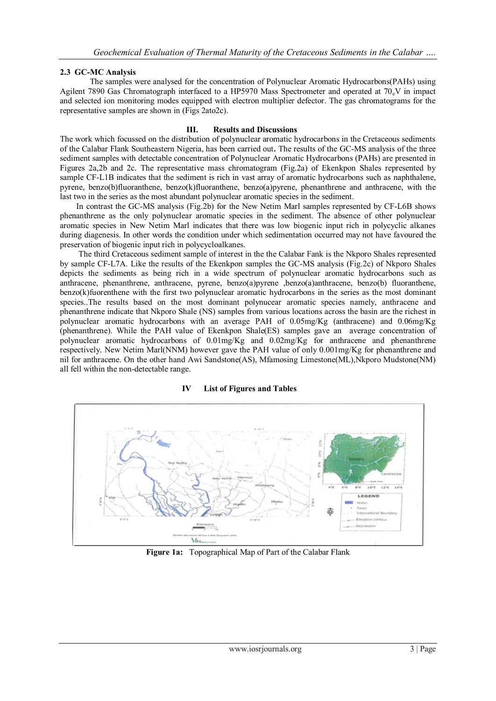### **2.3 GC-MC Analysis**

The samples were analysed for the concentration of Polynuclear Aromatic Hydrocarbons(PAHs) using Agilent 7890 Gas Chromatograph interfaced to a HP5970 Mass Spectrometer and operated at 70. V in impact and selected ion monitoring modes equipped with electron multiplier defector. The gas chromatograms for the representative samples are shown in (Figs 2ato2c).

#### **III. Results and Discussions**

The work which focussed on the distribution of polynuclear aromatic hydrocarbons in the Cretaceous sediments of the Calabar Flank Southeastern Nigeria, has been carried out**.** The results of the GC-MS analysis of the three sediment samples with detectable concentration of Polynuclear Aromatic Hydrocarbons (PAHs) are presented in Figures 2a,2b and 2c. The representative mass chromatogram (Fig.2a) of Ekenkpon Shales represented by sample CF-L1B indicates that the sediment is rich in vast array of aromatic hydrocarbons such as naphthalene, pyrene, benzo(b)fluoranthene, benzo(k)fluoranthene, benzo(a)pyrene, phenanthrene and anthracene, with the last two in the series as the most abundant polynuclear aromatic species in the sediment.

 In contrast the GC-MS analysis (Fig.2b) for the New Netim Marl samples represented by CF-L6B shows phenanthrene as the only polynuclear aromatic species in the sediment. The absence of other polynuclear aromatic species in New Netim Marl indicates that there was low biogenic input rich in polycyclic alkanes during diagenesis. In other words the condition under which sedimentation occurred may not have favoured the preservation of biogenic input rich in polycycloalkanes.

 The third Cretaceous sediment sample of interest in the the Calabar Fank is the Nkporo Shales represented by sample CF-L7A. Like the results of the Ekenkpon samples the GC-MS analysis (Fig.2c) of Nkporo Shales depicts the sediments as being rich in a wide spectrum of polynuclear aromatic hydrocarbons such as anthracene, phenanthrene, anthracene, pyrene, benzo(a)pyrene ,benzo(a)anthracene, benzo(b) fluoranthene, benzo(k)fuorenthene with the first two polynuclear aromatic hydrocarbons in the series as the most dominant species..The results based on the most dominant polynucear aromatic species namely, anthracene and phenanthrene indicate that Nkporo Shale (NS) samples from various locations across the basin are the richest in polynuclear aromatic hydrocarbons with an average PAH of 0.05mg/Kg (anthracene) and 0.06mg/Kg (phenanthrene). While the PAH value of Ekenkpon Shale(ES) samples gave an average concentration of polynuclear aromatic hydrocarbons of 0.01mg/Kg and 0.02mg/Kg for anthracene and phenanthrene respectively. New Netim Marl(NNM) however gave the PAH value of only 0.001mg/Kg for phenanthrene and nil for anthracene. On the other hand Awi Sandstone(AS), Mfamosing Limestone(ML),Nkporo Mudstone(NM) all fell within the non-detectable range.

#### **IV List of Figures and Tables**



**Figure 1a:** Topographical Map of Part of the Calabar Flank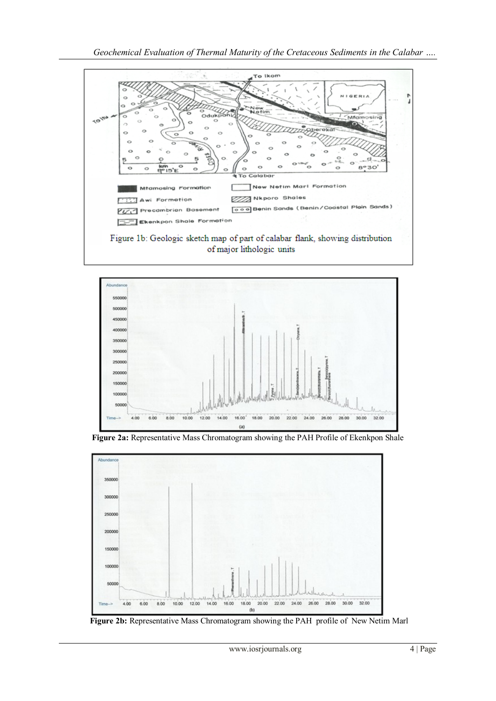







**Figure 2b:** Representative Mass Chromatogram showing the PAH profile of New Netim Marl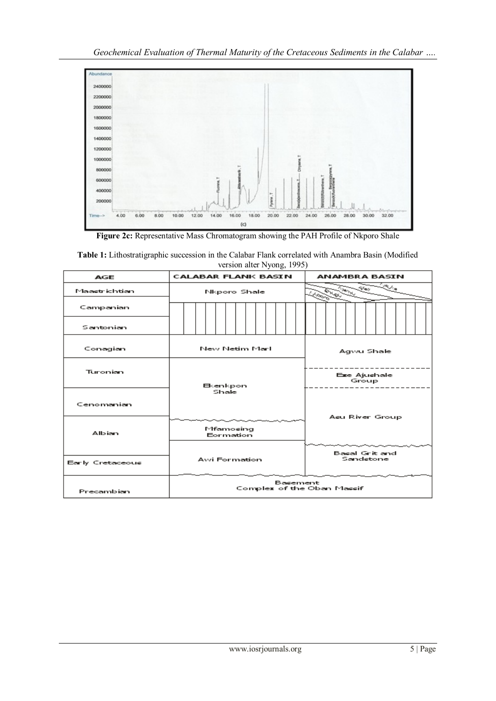Geochemical Evaluation of Thermal Maturity of the Cretaceous Sediments in the Calabar ....



**Figure 2c:** Representative Mass Chromatogram showing the PAH Profile of Nkporo Shale

**Table 1:** Lithostratigraphic succession in the Calabar Flank correlated with Anambra Basin (Modified version alter Nyong, 1995)

| <b>AGE</b>       | <b>CALABAR FLANK BASIN</b>             | <b>ANAMBRA BASIN</b>                                                 |  |
|------------------|----------------------------------------|----------------------------------------------------------------------|--|
| Maastrichtian    | Nkporo Shale                           | $\tau_{\theta\gamma_{\zeta_{\zeta}}}$<br><b>OURL</b><br><b>Proch</b> |  |
| Campanian        |                                        |                                                                      |  |
| Santonian        |                                        |                                                                      |  |
| Conagian         | New Netim Marli                        | Agwu Shale                                                           |  |
| Turonian         | Bkenkpon                               | Eze Ajushale<br>Group                                                |  |
| Cenomanian       | Shale                                  |                                                                      |  |
| Albian           | Mfamosing<br>Eormation                 | Asu River Group                                                      |  |
| Early Cretaceous | Awi Formation                          | Basal Grit and<br>Sandstone                                          |  |
| Precambian       | Basement<br>Complex of the Oban Massif |                                                                      |  |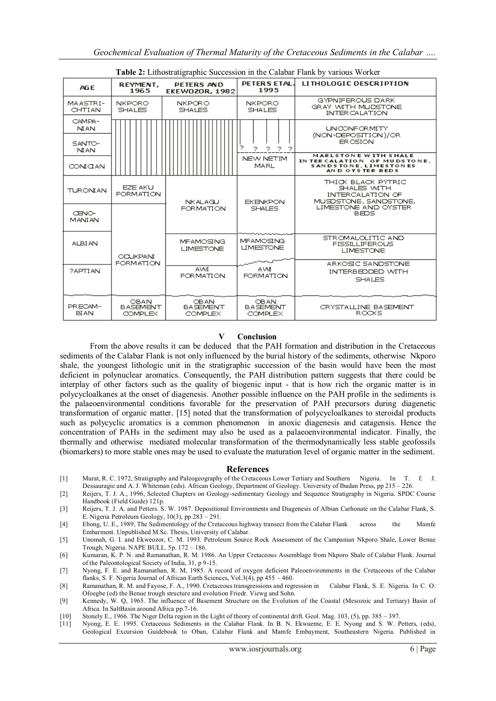| <b>Table 2:</b> Lithostratigraphic Succession in the Calabar Flank by various Worker |                                                  |                                                  |                                                  |                                                                                                          |  |
|--------------------------------------------------------------------------------------|--------------------------------------------------|--------------------------------------------------|--------------------------------------------------|----------------------------------------------------------------------------------------------------------|--|
| AG E                                                                                 | REYMENT,<br>1965                                 | <b>PETERS AND</b><br><b>EKEWOZOR, 1982</b>       | PETERS ETAL.<br>1995                             | <b>LITHOLOGIC DESCRIPTION</b>                                                                            |  |
| MAASTRI-<br>CHTIAN                                                                   | <b>NKPORO</b><br><b>SHALES</b>                   | <b>NKPORO</b><br><b>SHALES</b>                   | <b>NKPORO</b><br><b>SHALES</b>                   | GYPNIFEROUS DARK<br>GRAY WITH MUDSTONE<br><b>INTER CALATION</b>                                          |  |
| CAMPA-<br><b>NLAN</b><br>SANTO-<br><b>NLAN</b>                                       |                                                  |                                                  | ⊃<br>ファファ                                        | <b>UNCONFORMITY</b><br>(NON-DEPOSITION)/OR<br><b>ER OSION</b>                                            |  |
| CONFOLAN                                                                             |                                                  |                                                  | NEW NETIM<br><b>MARL</b>                         | <b>MARLSTONE WITH SHALE</b><br>IN TER CALATION OF MUDS TONE.<br>SANDSTONE, LIMESTONES<br>AND OYSTER BEDS |  |
| <b>TURONIAN</b>                                                                      | EZE AKU<br><b>FORMATION</b>                      | <b>NKALAGU</b>                                   | <b>EKENKPON</b>                                  | THICK BLACK PYTRIC<br>SHALES WITH<br><b>INTERCALATION OF</b><br>MUSDSTONE, SANDSTONE,                    |  |
| <b>CENO-</b><br><b>MANIAN</b>                                                        |                                                  | <b>FORMATION</b>                                 | <b>SHALES</b>                                    | LIMESTONE AND OYSTER<br>BEDS.                                                                            |  |
| <b>ALBI AN</b>                                                                       | <b>ODUKPANI</b>                                  | <b>MEAMOSING</b><br><b>LIMESTONE</b>             | <b>MEAMOSING</b><br><b>LIMESTONE</b>             | STROMALOLITIC AND<br><b>FISSILLIFEROUS</b><br><b>LIMESTONE</b>                                           |  |
| <b>PAPTLAN</b>                                                                       | <b>FORMATION</b>                                 | <b>AVAL</b><br><b>FORMATION</b>                  | AVM.<br><b>FORMATION</b>                         | ARKOSIC SANDSTONE<br>INTERBEDDED WITH<br><b>SHALES</b>                                                   |  |
| PRECAM-<br><b>BIAN</b>                                                               | <b>OBAN</b><br><b>BASEMENT</b><br><b>COMPLEX</b> | <b>OBAN</b><br><b>BASEMENT</b><br><b>COMPLEX</b> | <b>OBAN</b><br><b>BASEMENT</b><br><b>COMPLEX</b> | CRYSTALLINE BASEMENT<br>ROCKS.                                                                           |  |

#### **Table 2:** Lithostratigraphic Succession in the Calabar Flank by various Worker

#### **Conclusion**

From the above results it can be deduced that the PAH formation and distribution in the Cretaceous sediments of the Calabar Flank is not only influenced by the burial history of the sediments, otherwise Nkporo shale, the youngest lithologic unit in the stratigraphic succession of the basin would have been the most deficient in polynuclear aromatics. Consequently, the PAH distribution pattern suggests that there could be interplay of other factors such as the quality of biogenic input - that is how rich the organic matter is in polycycloalkanes at the onset of diagenesis. Another possible influence on the PAH profile in the sediments is the palaeoenvironmental conditions favorable for the preservation of PAH precursors during diagenetic transformation of organic matter. [15] noted that the transformation of polycycloalkanes to steroidal products such as polycyclic aromatics is a common phenomenon in anoxic diagenesis and catagensis. Hence the concentration of PAHs in the sediment may also be used as a palaeoenvironmental indicator. Finally, the thermally and otherwise mediated molecular transformation of the thermodynamically less stable geofossils (biomarkers) to more stable ones may be used to evaluate the maturation level of organic matter in the sediment.

#### **References**

- [1] Murat, R. C. 1972, Stratigraphy and Paleogeography of the Cretaceous Lower Tertiary and Southern Nigeria. In T. f. J. Dessauragie and A. J. Whiteman (eds). African Geology, Department of Geology. University of Ibadan Press, pp 215 – 226.
- [2] Reijers, T. J. A., 1996, Selected Chapters on Geology-sedimentary Geology and Sequence Stratigraphy in Nigeria. SPDC Course Handbook (Field Guide) 121p.
- [3] Reijers, T. J. A. and Petters. S. W. 1987. Depositional Environments and Diagenesis of Albian Carhonate on the Calabar Flank, S. E. Nigeria Petroleum Geology, 10(3), pp 283 – 291.
- [4] Ebong, U. E., 1989, The Sedimentology of the Cretaceous highway transect from the Calabar Flank across the Mamfe Embarment. Unpublished M.Sc. Thesis, University of Calabar.
- [5] Unomah, G. I. and Ekweozor, C. M. 1993. Petroleum Source Rock Assessment of the Campanian Nkporo Shale, Lower Benue Trough, Nigeria. NAPE BULL. 5p. 172 – 186.
- [6] Kumaran, K. P. N. and Ramanathan, R. M. 1986. An Upper Cretaceous Assemblage from Nkporo Shale of Calabar Flank. Journal of the Paleontological Society of India, 31, p 9-15.
- [7] Nyong, F. E. and Ramanathan, R. M, 1985. A record of oxygen deficient Paleoenvironments in the Cretaceous of the Calabar flanks, S. F. Nigeria Journal of African Earth Sciences, Vol.3(4), pp 455 – 460.
- [8] Ramanathan, R. M. and Fayose, F. A., 1990. Cretaceous transgressions and regression in Calabar Flank, S. E. Nigeria. In C. O. Ofoegbe (ed) the Benue trough structure and evolution Friedr. Viewg and Sohn.
- [9] Kennedy, W. Q, 1965. The influence of Basement Structure on the Evolution of the Coastal (Mesozoic and Tertiary) Basin of Africa. In SaltBasin around Africa pp.7-16.
- [10] Stonely E., 1966. The Niger Delta region in the Light of theory of continental drift. Geol. Mag. 103, (5), pp. 385 397.
- Nyong, E. E. 1995. Cretaceous Sediments in the Calabar Flank. In B. N. Ekwueme, E. E. Nyong and S. W. Petters, (eds), Geological Excursion Guidebook to Oban, Calabar Flank and Mamfe Embayment, Southeastern Nigeria. Published in